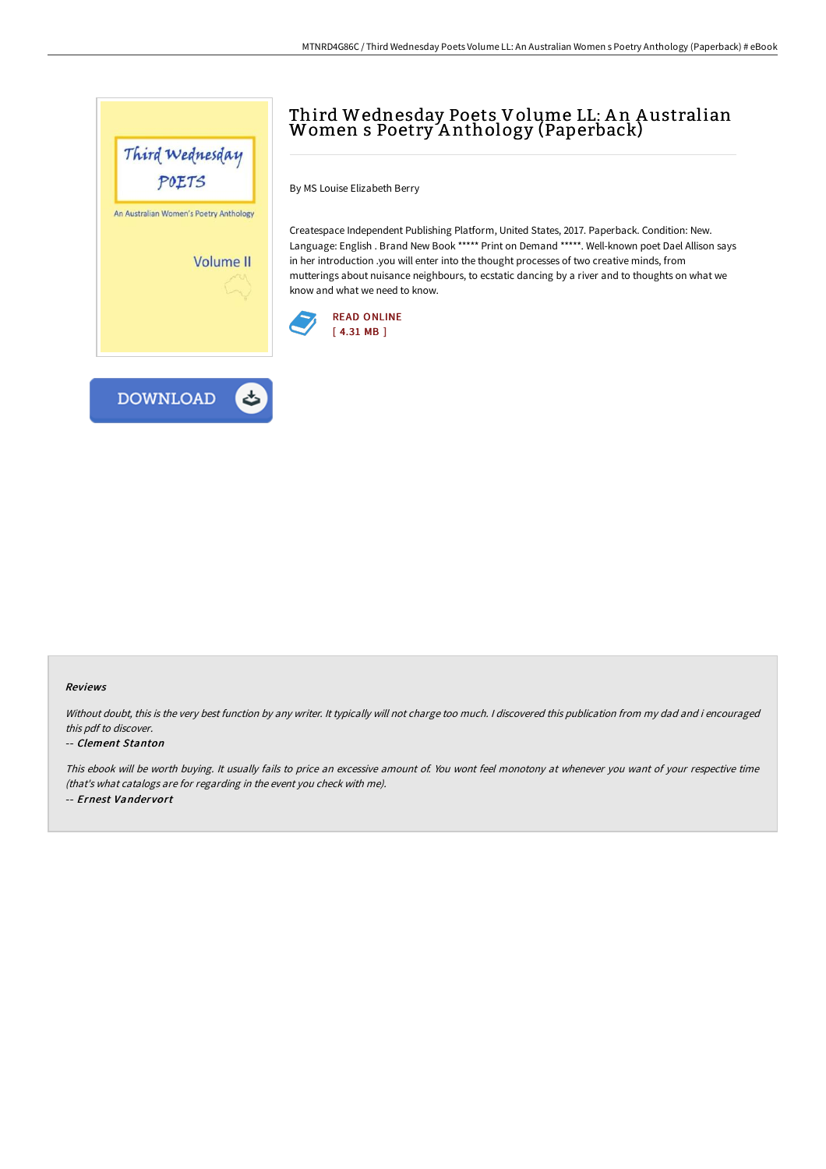



## Third Wednesday Poets Volume LL: A n A ustralian Women s Poetry A nthology (Paperback)

By MS Louise Elizabeth Berry

Createspace Independent Publishing Platform, United States, 2017. Paperback. Condition: New. Language: English . Brand New Book \*\*\*\*\* Print on Demand \*\*\*\*\*. Well-known poet Dael Allison says in her introduction .you will enter into the thought processes of two creative minds, from mutterings about nuisance neighbours, to ecstatic dancing by a river and to thoughts on what we know and what we need to know.



## Reviews

Without doubt, this is the very best function by any writer. It typically will not charge too much. I discovered this publication from my dad and i encouraged this pdf to discover.

## -- Clement Stanton

This ebook will be worth buying. It usually fails to price an excessive amount of. You wont feel monotony at whenever you want of your respective time (that's what catalogs are for regarding in the event you check with me). -- Ernest Vandervort